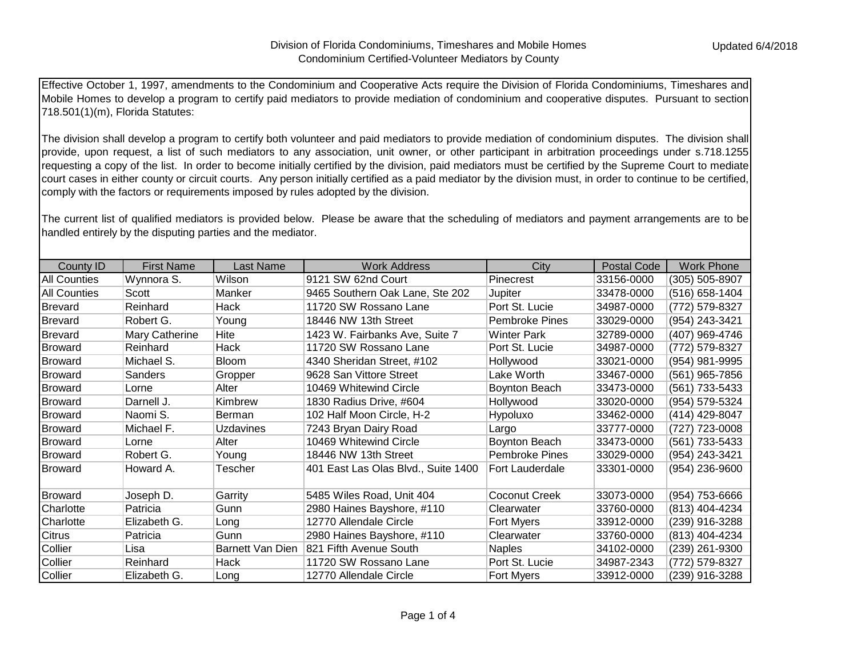Effective October 1, 1997, amendments to the Condominium and Cooperative Acts require the Division of Florida Condominiums, Timeshares and Mobile Homes to develop a program to certify paid mediators to provide mediation of condominium and cooperative disputes. Pursuant to section 718.501(1)(m), Florida Statutes:

The division shall develop a program to certify both volunteer and paid mediators to provide mediation of condominium disputes. The division shall provide, upon request, a list of such mediators to any association, unit owner, or other participant in arbitration proceedings under s.718.1255 requesting a copy of the list. In order to become initially certified by the division, paid mediators must be certified by the Supreme Court to mediate court cases in either county or circuit courts. Any person initially certified as a paid mediator by the division must, in order to continue to be certified, comply with the factors or requirements imposed by rules adopted by the division.

The current list of qualified mediators is provided below. Please be aware that the scheduling of mediators and payment arrangements are to be handled entirely by the disputing parties and the mediator.

| <b>County ID</b>    | <b>First Name</b> | Last Name        | <b>Work Address</b>                 | City                  | <b>Postal Code</b> | <b>Work Phone</b> |
|---------------------|-------------------|------------------|-------------------------------------|-----------------------|--------------------|-------------------|
| <b>All Counties</b> | Wynnora S.        | Wilson           | 9121 SW 62nd Court                  | Pinecrest             | 33156-0000         | (305) 505-8907    |
| <b>All Counties</b> | Scott             | Manker           | 9465 Southern Oak Lane, Ste 202     | Jupiter               | 33478-0000         | (516) 658-1404    |
| Brevard             | Reinhard          | Hack             | 11720 SW Rossano Lane               | Port St. Lucie        | 34987-0000         | (772) 579-8327    |
| Brevard             | Robert G.         | Young            | 18446 NW 13th Street                | Pembroke Pines        | 33029-0000         | (954) 243-3421    |
| Brevard             | Mary Catherine    | Hite             | 1423 W. Fairbanks Ave, Suite 7      | <b>Winter Park</b>    | 32789-0000         | (407) 969-4746    |
| Broward             | Reinhard          | Hack             | 11720 SW Rossano Lane               | Port St. Lucie        | 34987-0000         | (772) 579-8327    |
| Broward             | Michael S.        | <b>Bloom</b>     | 4340 Sheridan Street, #102          | Hollywood             | 33021-0000         | (954) 981-9995    |
| IBroward            | Sanders           | Gropper          | 9628 San Vittore Street             | Lake Worth            | 33467-0000         | (561) 965-7856    |
| Broward             | Lorne             | Alter            | 10469 Whitewind Circle              | <b>Boynton Beach</b>  | 33473-0000         | (561) 733-5433    |
| Broward             | Darnell J.        | Kimbrew          | 1830 Radius Drive, #604             | Hollywood             | 33020-0000         | (954) 579-5324    |
| Broward             | Naomi S.          | Berman           | 102 Half Moon Circle, H-2           | Hypoluxo              | 33462-0000         | (414) 429-8047    |
| Broward             | Michael F.        | Uzdavines        | 7243 Bryan Dairy Road               | Largo                 | 33777-0000         | (727) 723-0008    |
| Broward             | Lorne             | Alter            | 10469 Whitewind Circle              | Boynton Beach         | 33473-0000         | (561) 733-5433    |
| Broward             | Robert G.         | Young            | 18446 NW 13th Street                | <b>Pembroke Pines</b> | 33029-0000         | (954) 243-3421    |
| IBroward            | Howard A.         | Tescher          | 401 East Las Olas Blvd., Suite 1400 | Fort Lauderdale       | 33301-0000         | (954) 236-9600    |
| Broward             | Joseph D.         | Garrity          | 5485 Wiles Road, Unit 404           | <b>Coconut Creek</b>  | 33073-0000         | (954) 753-6666    |
| Charlotte           | Patricia          | Gunn             | 2980 Haines Bayshore, #110          | Clearwater            | 33760-0000         | (813) 404-4234    |
| Charlotte           | Elizabeth G.      | Long             | 12770 Allendale Circle              | Fort Myers            | 33912-0000         | (239) 916-3288    |
| <b>Citrus</b>       | Patricia          | Gunn             | 2980 Haines Bayshore, #110          | Clearwater            | 33760-0000         | (813) 404-4234    |
| Collier             | Lisa              | Barnett Van Dien | 821 Fifth Avenue South              | <b>Naples</b>         | 34102-0000         | (239) 261-9300    |
| Collier             | Reinhard          | Hack             | 11720 SW Rossano Lane               | Port St. Lucie        | 34987-2343         | (772) 579-8327    |
| Collier             | Elizabeth G.      | Long             | 12770 Allendale Circle              | <b>Fort Myers</b>     | 33912-0000         | (239) 916-3288    |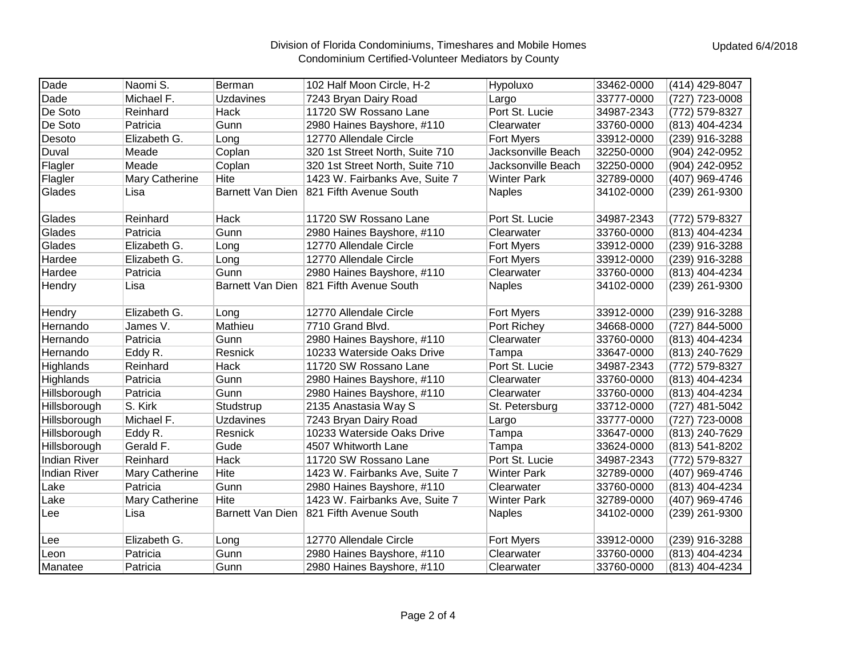## Division of Florida Condominiums, Timeshares and Mobile Homes Condominium Certified-Volunteer Mediators by County

| Dade                | Naomi S.              | Berman           | 102 Half Moon Circle, H-2       | Hypoluxo           | 33462-0000 | (414) 429-8047 |
|---------------------|-----------------------|------------------|---------------------------------|--------------------|------------|----------------|
| Dade                | Michael F.            | <b>Uzdavines</b> | 7243 Bryan Dairy Road           | Largo              | 33777-0000 | (727) 723-0008 |
| De Soto             | Reinhard              | Hack             | 11720 SW Rossano Lane           | Port St. Lucie     | 34987-2343 | (772) 579-8327 |
| De Soto             | Patricia              | Gunn             | 2980 Haines Bayshore, #110      | Clearwater         | 33760-0000 | (813) 404-4234 |
| Desoto              | Elizabeth G.          | Long             | 12770 Allendale Circle          | <b>Fort Myers</b>  | 33912-0000 | (239) 916-3288 |
| Duval               | Meade                 | Coplan           | 320 1st Street North, Suite 710 | Jacksonville Beach | 32250-0000 | (904) 242-0952 |
| Flagler             | Meade                 | Coplan           | 320 1st Street North, Suite 710 | Jacksonville Beach | 32250-0000 | (904) 242-0952 |
| Flagler             | Mary Catherine        | Hite             | 1423 W. Fairbanks Ave, Suite 7  | <b>Winter Park</b> | 32789-0000 | (407) 969-4746 |
| Glades              | Lisa                  | Barnett Van Dien | 821 Fifth Avenue South          | <b>Naples</b>      | 34102-0000 | (239) 261-9300 |
| Glades              | Reinhard              | Hack             | 11720 SW Rossano Lane           | Port St. Lucie     | 34987-2343 | (772) 579-8327 |
| Glades              | Patricia              | Gunn             | 2980 Haines Bayshore, #110      | Clearwater         | 33760-0000 | (813) 404-4234 |
| Glades              | Elizabeth G.          | Long             | 12770 Allendale Circle          | Fort Myers         | 33912-0000 | (239) 916-3288 |
| Hardee              | Elizabeth G.          | Long             | 12770 Allendale Circle          | Fort Myers         | 33912-0000 | (239) 916-3288 |
| Hardee              | Patricia              | Gunn             | 2980 Haines Bayshore, #110      | Clearwater         | 33760-0000 | (813) 404-4234 |
| Hendry              | Lisa                  | Barnett Van Dien | 821 Fifth Avenue South          | <b>Naples</b>      | 34102-0000 | (239) 261-9300 |
| Hendry              | Elizabeth G.          | Long             | 12770 Allendale Circle          | <b>Fort Myers</b>  | 33912-0000 | (239) 916-3288 |
| Hernando            | James V.              | Mathieu          | 7710 Grand Blvd.                | Port Richey        | 34668-0000 | (727) 844-5000 |
| Hernando            | Patricia              | Gunn             | 2980 Haines Bayshore, #110      | Clearwater         | 33760-0000 | (813) 404-4234 |
| Hernando            | Eddy R.               | Resnick          | 10233 Waterside Oaks Drive      | Tampa              | 33647-0000 | (813) 240-7629 |
| Highlands           | Reinhard              | <b>Hack</b>      | 11720 SW Rossano Lane           | Port St. Lucie     | 34987-2343 | (772) 579-8327 |
| Highlands           | Patricia              | Gunn             | 2980 Haines Bayshore, #110      | Clearwater         | 33760-0000 | (813) 404-4234 |
| Hillsborough        | Patricia              | Gunn             | 2980 Haines Bayshore, #110      | Clearwater         | 33760-0000 | (813) 404-4234 |
| Hillsborough        | S. Kirk               | Studstrup        | 2135 Anastasia Way S            | St. Petersburg     | 33712-0000 | (727) 481-5042 |
| Hillsborough        | Michael F.            | <b>Uzdavines</b> | 7243 Bryan Dairy Road           | Largo              | 33777-0000 | (727) 723-0008 |
| Hillsborough        | Eddy R.               | Resnick          | 10233 Waterside Oaks Drive      | Tampa              | 33647-0000 | (813) 240-7629 |
| Hillsborough        | Gerald F.             | Gude             | 4507 Whitworth Lane             | Tampa              | 33624-0000 | (813) 541-8202 |
| <b>Indian River</b> | Reinhard              | Hack             | 11720 SW Rossano Lane           | Port St. Lucie     | 34987-2343 | (772) 579-8327 |
| <b>Indian River</b> | Mary Catherine        | Hite             | 1423 W. Fairbanks Ave, Suite 7  | <b>Winter Park</b> | 32789-0000 | (407) 969-4746 |
| Lake                | Patricia              | Gunn             | 2980 Haines Bayshore, #110      | Clearwater         | 33760-0000 | (813) 404-4234 |
| Lake                | <b>Mary Catherine</b> | Hite             | 1423 W. Fairbanks Ave, Suite 7  | <b>Winter Park</b> | 32789-0000 | (407) 969-4746 |
| Lee                 | Lisa                  | Barnett Van Dien | 821 Fifth Avenue South          | <b>Naples</b>      | 34102-0000 | (239) 261-9300 |
| Lee                 | Elizabeth G.          | Long             | 12770 Allendale Circle          | <b>Fort Myers</b>  | 33912-0000 | (239) 916-3288 |
| Leon                | Patricia              | Gunn             | 2980 Haines Bayshore, #110      | Clearwater         | 33760-0000 | (813) 404-4234 |
| Manatee             | Patricia              | Gunn             | 2980 Haines Bayshore, #110      | Clearwater         | 33760-0000 | (813) 404-4234 |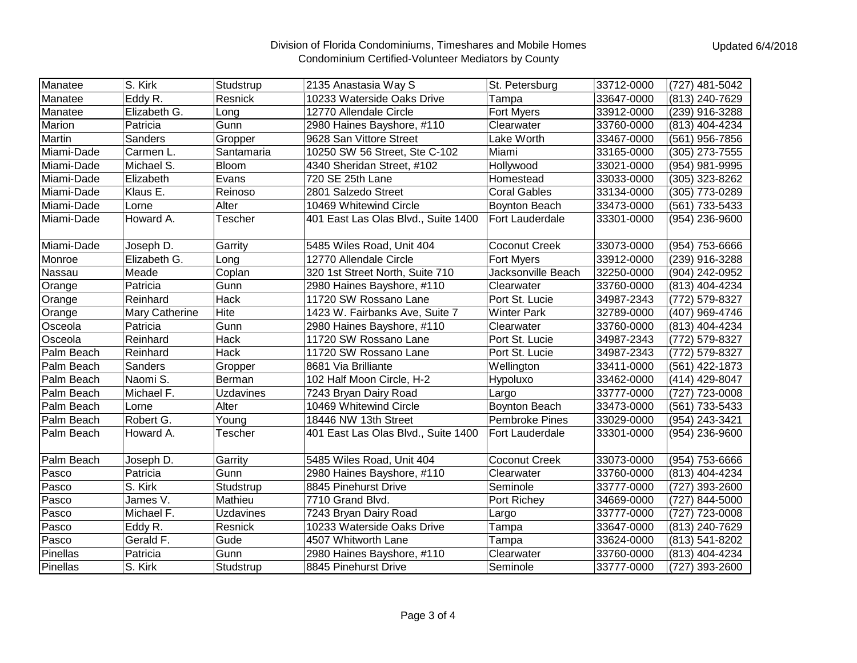## Division of Florida Condominiums, Timeshares and Mobile Homes Condominium Certified-Volunteer Mediators by County

| Manatee    | S. Kirk        | Studstrup        | 2135 Anastasia Way S                | St. Petersburg         | 33712-0000 | (727) 481-5042 |
|------------|----------------|------------------|-------------------------------------|------------------------|------------|----------------|
| Manatee    | Eddy R.        | Resnick          | 10233 Waterside Oaks Drive          | Tampa                  | 33647-0000 | (813) 240-7629 |
| Manatee    | Elizabeth G.   | Long             | 12770 Allendale Circle              | Fort Myers             | 33912-0000 | (239) 916-3288 |
| Marion     | Patricia       | Gunn             | 2980 Haines Bayshore, #110          | Clearwater             | 33760-0000 | (813) 404-4234 |
| Martin     | Sanders        | Gropper          | 9628 San Vittore Street             | Lake Worth             | 33467-0000 | (561) 956-7856 |
| Miami-Dade | Carmen L.      | Santamaria       | 10250 SW 56 Street, Ste C-102       | Miami                  | 33165-0000 | (305) 273-7555 |
| Miami-Dade | Michael S.     | <b>Bloom</b>     | 4340 Sheridan Street, #102          | Hollywood              | 33021-0000 | (954) 981-9995 |
| Miami-Dade | Elizabeth      | Evans            | 720 SE 25th Lane                    | Homestead              | 33033-0000 | (305) 323-8262 |
| Miami-Dade | Klaus E.       | Reinoso          | 2801 Salzedo Street                 | <b>Coral Gables</b>    | 33134-0000 | (305) 773-0289 |
| Miami-Dade | Lorne          | Alter            | 10469 Whitewind Circle              | <b>Boynton Beach</b>   | 33473-0000 | (561) 733-5433 |
| Miami-Dade | Howard A.      | <b>Tescher</b>   | 401 East Las Olas Blvd., Suite 1400 | Fort Lauderdale        | 33301-0000 | (954) 236-9600 |
|            |                |                  |                                     |                        |            |                |
| Miami-Dade | Joseph D.      | Garrity          | 5485 Wiles Road, Unit 404           | <b>Coconut Creek</b>   | 33073-0000 | (954) 753-6666 |
| Monroe     | Elizabeth G.   | Long             | 12770 Allendale Circle              | <b>Fort Myers</b>      | 33912-0000 | (239) 916-3288 |
| Nassau     | Meade          | Coplan           | 320 1st Street North, Suite 710     | Jacksonville Beach     | 32250-0000 | (904) 242-0952 |
| Orange     | Patricia       | Gunn             | 2980 Haines Bayshore, #110          | Clearwater             | 33760-0000 | (813) 404-4234 |
| Orange     | Reinhard       | Hack             | 11720 SW Rossano Lane               | Port St. Lucie         | 34987-2343 | (772) 579-8327 |
| Orange     | Mary Catherine | Hite             | 1423 W. Fairbanks Ave, Suite 7      | <b>Winter Park</b>     | 32789-0000 | (407) 969-4746 |
| Osceola    | Patricia       | Gunn             | 2980 Haines Bayshore, #110          | Clearwater             | 33760-0000 | (813) 404-4234 |
| Osceola    | Reinhard       | Hack             | 11720 SW Rossano Lane               | Port St. Lucie         | 34987-2343 | (772) 579-8327 |
| Palm Beach | Reinhard       | Hack             | 11720 SW Rossano Lane               | Port St. Lucie         | 34987-2343 | (772) 579-8327 |
| Palm Beach | Sanders        | Gropper          | 8681 Via Brilliante                 | Wellington             | 33411-0000 | (561) 422-1873 |
| Palm Beach | Naomi S.       | Berman           | 102 Half Moon Circle, H-2           | Hypoluxo               | 33462-0000 | (414) 429-8047 |
| Palm Beach | Michael F.     | Uzdavines        | 7243 Bryan Dairy Road               | Largo                  | 33777-0000 | (727) 723-0008 |
| Palm Beach | Lorne          | Alter            | 10469 Whitewind Circle              | <b>Boynton Beach</b>   | 33473-0000 | (561) 733-5433 |
| Palm Beach | Robert G.      | Young            | 18446 NW 13th Street                | <b>Pembroke Pines</b>  | 33029-0000 | (954) 243-3421 |
| Palm Beach | Howard A.      | Tescher          | 401 East Las Olas Blvd., Suite 1400 | <b>Fort Lauderdale</b> | 33301-0000 | (954) 236-9600 |
|            |                |                  |                                     |                        |            |                |
| Palm Beach | Joseph D.      | Garrity          | 5485 Wiles Road, Unit 404           | <b>Coconut Creek</b>   | 33073-0000 | (954) 753-6666 |
| Pasco      | Patricia       | Gunn             | 2980 Haines Bayshore, #110          | Clearwater             | 33760-0000 | (813) 404-4234 |
| Pasco      | S. Kirk        | Studstrup        | 8845 Pinehurst Drive                | Seminole               | 33777-0000 | (727) 393-2600 |
| Pasco      | James V.       | Mathieu          | 7710 Grand Blvd.                    | Port Richey            | 34669-0000 | (727) 844-5000 |
| Pasco      | Michael F.     | <b>Uzdavines</b> | 7243 Bryan Dairy Road               | Largo                  | 33777-0000 | (727) 723-0008 |
| Pasco      | Eddy R.        | Resnick          | 10233 Waterside Oaks Drive          | Tampa                  | 33647-0000 | (813) 240-7629 |
| Pasco      | Gerald F.      | Gude             | 4507 Whitworth Lane                 | Tampa                  | 33624-0000 | (813) 541-8202 |
| Pinellas   | Patricia       | Gunn             | 2980 Haines Bayshore, #110          | Clearwater             | 33760-0000 | (813) 404-4234 |
| Pinellas   | S. Kirk        | Studstrup        | 8845 Pinehurst Drive                | Seminole               | 33777-0000 | (727) 393-2600 |